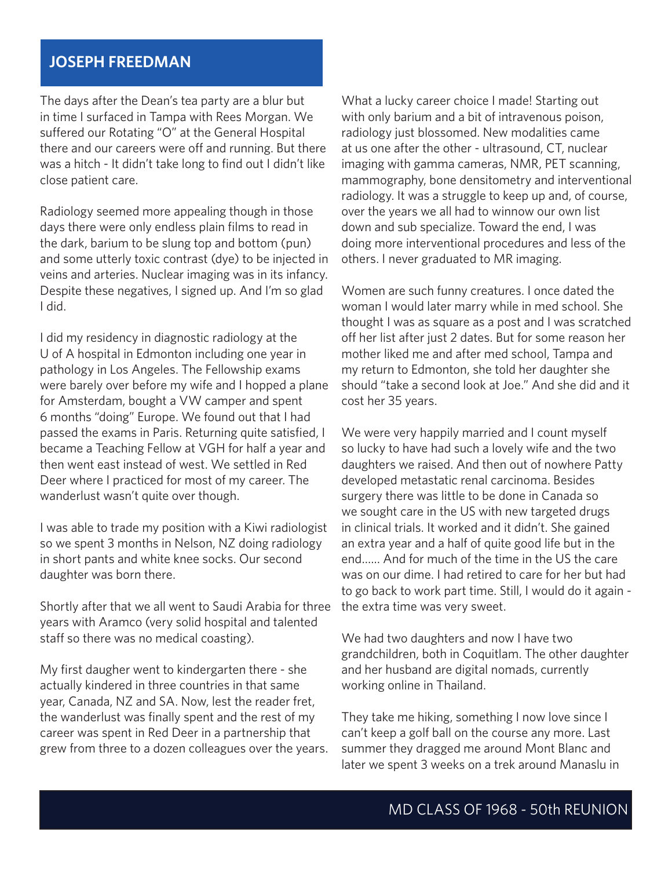## **JOSEPH FREEDMAN**

The days after the Dean's tea party are a blur but in time I surfaced in Tampa with Rees Morgan. We suffered our Rotating "O" at the General Hospital there and our careers were off and running. But there was a hitch - It didn't take long to find out I didn't like close patient care.

Radiology seemed more appealing though in those days there were only endless plain films to read in the dark, barium to be slung top and bottom (pun) and some utterly toxic contrast (dye) to be injected in veins and arteries. Nuclear imaging was in its infancy. Despite these negatives, I signed up. And I'm so glad I did.

I did my residency in diagnostic radiology at the U of A hospital in Edmonton including one year in pathology in Los Angeles. The Fellowship exams were barely over before my wife and I hopped a plane for Amsterdam, bought a VW camper and spent 6 months "doing" Europe. We found out that I had passed the exams in Paris. Returning quite satisfied, I became a Teaching Fellow at VGH for half a year and then went east instead of west. We settled in Red Deer where I practiced for most of my career. The wanderlust wasn't quite over though.

I was able to trade my position with a Kiwi radiologist so we spent 3 months in Nelson, NZ doing radiology in short pants and white knee socks. Our second daughter was born there.

Shortly after that we all went to Saudi Arabia for three years with Aramco (very solid hospital and talented staff so there was no medical coasting).

My first daugher went to kindergarten there - she actually kindered in three countries in that same year, Canada, NZ and SA. Now, lest the reader fret, the wanderlust was finally spent and the rest of my career was spent in Red Deer in a partnership that grew from three to a dozen colleagues over the years. What a lucky career choice I made! Starting out with only barium and a bit of intravenous poison, radiology just blossomed. New modalities came at us one after the other - ultrasound, CT, nuclear imaging with gamma cameras, NMR, PET scanning, mammography, bone densitometry and interventional radiology. It was a struggle to keep up and, of course, over the years we all had to winnow our own list down and sub specialize. Toward the end, I was doing more interventional procedures and less of the others. I never graduated to MR imaging.

Women are such funny creatures. I once dated the woman I would later marry while in med school. She thought I was as square as a post and I was scratched off her list after just 2 dates. But for some reason her mother liked me and after med school, Tampa and my return to Edmonton, she told her daughter she should "take a second look at Joe." And she did and it cost her 35 years.

We were very happily married and I count myself so lucky to have had such a lovely wife and the two daughters we raised. And then out of nowhere Patty developed metastatic renal carcinoma. Besides surgery there was little to be done in Canada so we sought care in the US with new targeted drugs in clinical trials. It worked and it didn't. She gained an extra year and a half of quite good life but in the end…… And for much of the time in the US the care was on our dime. I had retired to care for her but had to go back to work part time. Still, I would do it again the extra time was very sweet.

We had two daughters and now I have two grandchildren, both in Coquitlam. The other daughter and her husband are digital nomads, currently working online in Thailand.

They take me hiking, something I now love since I can't keep a golf ball on the course any more. Last summer they dragged me around Mont Blanc and later we spent 3 weeks on a trek around Manaslu in